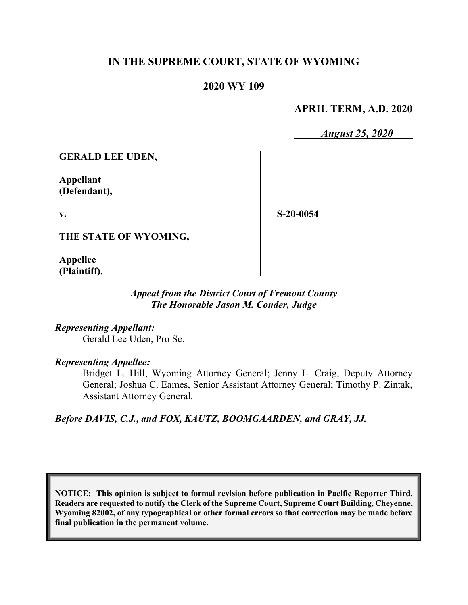# **IN THE SUPREME COURT, STATE OF WYOMING**

### **2020 WY 109**

### **APRIL TERM, A.D. 2020**

*August 25, 2020*

**GERALD LEE UDEN,**

**Appellant (Defendant),**

**v.**

**S-20-0054**

**THE STATE OF WYOMING,**

**Appellee (Plaintiff).**

### *Appeal from the District Court of Fremont County The Honorable Jason M. Conder, Judge*

*Representing Appellant:* Gerald Lee Uden, Pro Se.

*Representing Appellee:*

Bridget L. Hill, Wyoming Attorney General; Jenny L. Craig, Deputy Attorney General; Joshua C. Eames, Senior Assistant Attorney General; Timothy P. Zintak, Assistant Attorney General.

*Before DAVIS, C.J., and FOX, KAUTZ, BOOMGAARDEN, and GRAY, JJ.*

**NOTICE: This opinion is subject to formal revision before publication in Pacific Reporter Third. Readers are requested to notify the Clerk of the Supreme Court, Supreme Court Building, Cheyenne, Wyoming 82002, of any typographical or other formal errors so that correction may be made before final publication in the permanent volume.**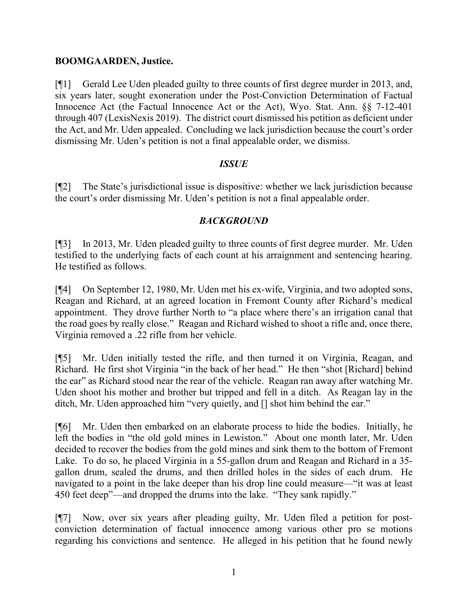### **BOOMGAARDEN, Justice.**

[¶1] Gerald Lee Uden pleaded guilty to three counts of first degree murder in 2013, and, six years later, sought exoneration under the Post-Conviction Determination of Factual Innocence Act (the Factual Innocence Act or the Act), Wyo. Stat. Ann. §§ 7-12-401 through 407 (LexisNexis 2019). The district court dismissed his petition as deficient under the Act, and Mr. Uden appealed. Concluding we lack jurisdiction because the court's order dismissing Mr. Uden's petition is not a final appealable order, we dismiss.

### *ISSUE*

[¶2] The State's jurisdictional issue is dispositive: whether we lack jurisdiction because the court's order dismissing Mr. Uden's petition is not a final appealable order.

## *BACKGROUND*

[¶3] In 2013, Mr. Uden pleaded guilty to three counts of first degree murder. Mr. Uden testified to the underlying facts of each count at his arraignment and sentencing hearing. He testified as follows.

[¶4] On September 12, 1980, Mr. Uden met his ex-wife, Virginia, and two adopted sons, Reagan and Richard, at an agreed location in Fremont County after Richard's medical appointment. They drove further North to "a place where there's an irrigation canal that the road goes by really close." Reagan and Richard wished to shoot a rifle and, once there, Virginia removed a .22 rifle from her vehicle.

[¶5] Mr. Uden initially tested the rifle, and then turned it on Virginia, Reagan, and Richard. He first shot Virginia "in the back of her head." He then "shot [Richard] behind the ear" as Richard stood near the rear of the vehicle. Reagan ran away after watching Mr. Uden shoot his mother and brother but tripped and fell in a ditch. As Reagan lay in the ditch, Mr. Uden approached him "very quietly, and [] shot him behind the ear."

[¶6] Mr. Uden then embarked on an elaborate process to hide the bodies. Initially, he left the bodies in "the old gold mines in Lewiston." About one month later, Mr. Uden decided to recover the bodies from the gold mines and sink them to the bottom of Fremont Lake. To do so, he placed Virginia in a 55-gallon drum and Reagan and Richard in a 35 gallon drum, sealed the drums, and then drilled holes in the sides of each drum. He navigated to a point in the lake deeper than his drop line could measure—"it was at least 450 feet deep"—and dropped the drums into the lake. "They sank rapidly."

[¶7] Now, over six years after pleading guilty, Mr. Uden filed a petition for postconviction determination of factual innocence among various other pro se motions regarding his convictions and sentence. He alleged in his petition that he found newly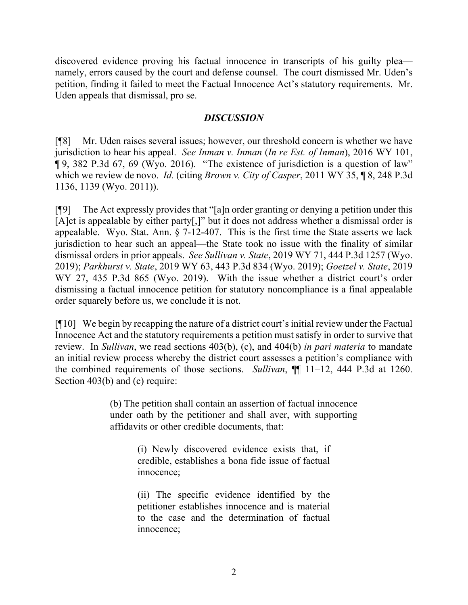discovered evidence proving his factual innocence in transcripts of his guilty plea namely, errors caused by the court and defense counsel. The court dismissed Mr. Uden's petition, finding it failed to meet the Factual Innocence Act's statutory requirements. Mr. Uden appeals that dismissal, pro se.

### *DISCUSSION*

[¶8] Mr. Uden raises several issues; however, our threshold concern is whether we have jurisdiction to hear his appeal. *See Inman v. Inman* (*In re Est. of Inman*), 2016 WY 101, ¶ 9, 382 P.3d 67, 69 (Wyo. 2016). "The existence of jurisdiction is a question of law" which we review de novo. *Id.* (citing *Brown v. City of Casper*, 2011 WY 35, ¶ 8, 248 P.3d 1136, 1139 (Wyo. 2011)).

[¶9] The Act expressly provides that "[a]n order granting or denying a petition under this [A]ct is appealable by either party[,]" but it does not address whether a dismissal order is appealable. Wyo. Stat. Ann. § 7-12-407. This is the first time the State asserts we lack jurisdiction to hear such an appeal—the State took no issue with the finality of similar dismissal orders in prior appeals. *See Sullivan v. State*, 2019 WY 71, 444 P.3d 1257 (Wyo. 2019); *Parkhurst v. State*, 2019 WY 63, 443 P.3d 834 (Wyo. 2019); *Goetzel v. State*, 2019 WY 27, 435 P.3d 865 (Wyo. 2019). With the issue whether a district court's order dismissing a factual innocence petition for statutory noncompliance is a final appealable order squarely before us, we conclude it is not.

[¶10] We begin by recapping the nature of a district court's initial review under the Factual Innocence Act and the statutory requirements a petition must satisfy in order to survive that review. In *Sullivan*, we read sections 403(b), (c), and 404(b) *in pari materia* to mandate an initial review process whereby the district court assesses a petition's compliance with the combined requirements of those sections. *Sullivan*, ¶¶ 11–12, 444 P.3d at 1260. Section 403(b) and (c) require:

> (b) The petition shall contain an assertion of factual innocence under oath by the petitioner and shall aver, with supporting affidavits or other credible documents, that:

> > (i) Newly discovered evidence exists that, if credible, establishes a bona fide issue of factual innocence;

> > (ii) The specific evidence identified by the petitioner establishes innocence and is material to the case and the determination of factual innocence;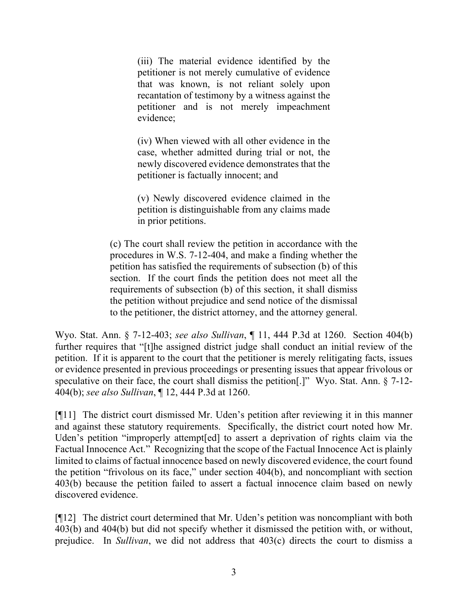(iii) The material evidence identified by the petitioner is not merely cumulative of evidence that was known, is not reliant solely upon recantation of testimony by a witness against the petitioner and is not merely impeachment evidence;

(iv) When viewed with all other evidence in the case, whether admitted during trial or not, the newly discovered evidence demonstrates that the petitioner is factually innocent; and

(v) Newly discovered evidence claimed in the petition is distinguishable from any claims made in prior petitions.

(c) The court shall review the petition in accordance with the procedures in W.S. 7-12-404, and make a finding whether the petition has satisfied the requirements of subsection (b) of this section. If the court finds the petition does not meet all the requirements of subsection (b) of this section, it shall dismiss the petition without prejudice and send notice of the dismissal to the petitioner, the district attorney, and the attorney general.

Wyo. Stat. Ann. § 7-12-403; *see also Sullivan*, ¶ 11, 444 P.3d at 1260. Section 404(b) further requires that "[t]he assigned district judge shall conduct an initial review of the petition. If it is apparent to the court that the petitioner is merely relitigating facts, issues or evidence presented in previous proceedings or presenting issues that appear frivolous or speculative on their face, the court shall dismiss the petition[.]" Wyo. Stat. Ann. § 7-12- 404(b); *see also Sullivan*, ¶ 12, 444 P.3d at 1260.

[¶11] The district court dismissed Mr. Uden's petition after reviewing it in this manner and against these statutory requirements. Specifically, the district court noted how Mr. Uden's petition "improperly attempt[ed] to assert a deprivation of rights claim via the Factual Innocence Act." Recognizing that the scope of the Factual Innocence Act is plainly limited to claims of factual innocence based on newly discovered evidence, the court found the petition "frivolous on its face," under section 404(b), and noncompliant with section 403(b) because the petition failed to assert a factual innocence claim based on newly discovered evidence.

[¶12] The district court determined that Mr. Uden's petition was noncompliant with both 403(b) and 404(b) but did not specify whether it dismissed the petition with, or without, prejudice. In *Sullivan*, we did not address that 403(c) directs the court to dismiss a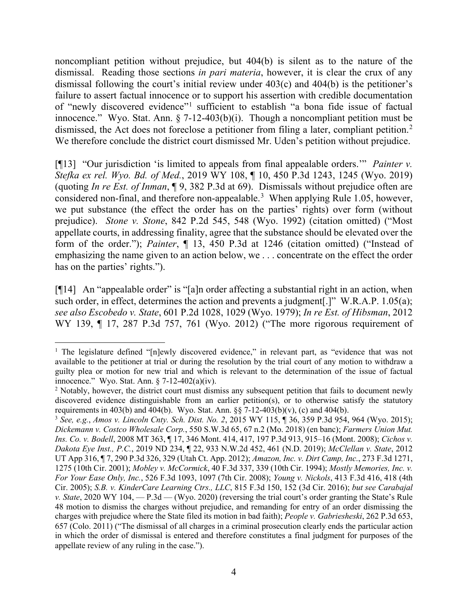noncompliant petition without prejudice, but 404(b) is silent as to the nature of the dismissal. Reading those sections *in pari materia*, however, it is clear the crux of any dismissal following the court's initial review under 403(c) and 404(b) is the petitioner's failure to assert factual innocence or to support his assertion with credible documentation of "newly discovered evidence"[1](#page-4-0) sufficient to establish "a bona fide issue of factual innocence." Wyo. Stat. Ann.  $\S 7-12-403(b)(i)$ . Though a noncompliant petition must be dismissed, the Act does not foreclose a petitioner from filing a later, compliant petition.<sup>[2](#page-4-1)</sup> We therefore conclude the district court dismissed Mr. Uden's petition without prejudice.

[¶13] "Our jurisdiction 'is limited to appeals from final appealable orders.'" *Painter v. Stefka ex rel. Wyo. Bd. of Med.*, 2019 WY 108, ¶ 10, 450 P.3d 1243, 1245 (Wyo. 2019) (quoting *In re Est. of Inman*, ¶ 9, 382 P.3d at 69). Dismissals without prejudice often are considered non-final, and therefore non-appealable.<sup>[3](#page-4-2)</sup> When applying Rule 1.05, however, we put substance (the effect the order has on the parties' rights) over form (without prejudice). *Stone v. Stone*, 842 P.2d 545, 548 (Wyo. 1992) (citation omitted) ("Most appellate courts, in addressing finality, agree that the substance should be elevated over the form of the order."); *Painter*, ¶ 13, 450 P.3d at 1246 (citation omitted) ("Instead of emphasizing the name given to an action below, we . . . concentrate on the effect the order has on the parties' rights.").

[¶14] An "appealable order" is "[a]n order affecting a substantial right in an action, when such order, in effect, determines the action and prevents a judgment[.]" W.R.A.P. 1.05(a); *see also Escobedo v. State*, 601 P.2d 1028, 1029 (Wyo. 1979); *In re Est. of Hibsman*, 2012 WY 139, ¶ 17, 287 P.3d 757, 761 (Wyo. 2012) ("The more rigorous requirement of

<span id="page-4-0"></span><sup>&</sup>lt;sup>1</sup> The legislature defined "[n]ewly discovered evidence," in relevant part, as "evidence that was not available to the petitioner at trial or during the resolution by the trial court of any motion to withdraw a guilty plea or motion for new trial and which is relevant to the determination of the issue of factual innocence." Wyo. Stat. Ann. § 7-12-402(a)(iv).

<span id="page-4-1"></span><sup>&</sup>lt;sup>2</sup> Notably, however, the district court must dismiss any subsequent petition that fails to document newly discovered evidence distinguishable from an earlier petition(s), or to otherwise satisfy the statutory requirements in 403(b) and 404(b). Wyo. Stat. Ann.  $\S$  7-12-403(b)(v), (c) and 404(b).

<span id="page-4-2"></span><sup>3</sup> *See, e.g.*, *Amos v. Lincoln Cnty. Sch. Dist. No. 2*, 2015 WY 115, ¶ 36, 359 P.3d 954, 964 (Wyo. 2015); *Dickemann v. Costco Wholesale Corp.*, 550 S.W.3d 65, 67 n.2 (Mo. 2018) (en banc); *Farmers Union Mut. Ins. Co. v. Bodell*, 2008 MT 363, ¶ 17, 346 Mont. 414, 417, 197 P.3d 913, 915–16 (Mont. 2008); *Cichos v. Dakota Eye Inst., P.C.*, 2019 ND 234, ¶ 22, 933 N.W.2d 452, 461 (N.D. 2019); *McClellan v. State*, 2012 UT App 316, ¶ 7, 290 P.3d 326, 329 (Utah Ct. App. 2012); *Amazon, Inc. v. Dirt Camp, Inc.*, 273 F.3d 1271, 1275 (10th Cir. 2001); *Mobley v. McCormick*, 40 F.3d 337, 339 (10th Cir. 1994); *Mostly Memories, Inc. v. For Your Ease Only, Inc.*, 526 F.3d 1093, 1097 (7th Cir. 2008); *Young v. Nickols*, 413 F.3d 416, 418 (4th Cir. 2005); *S.B. v. KinderCare Learning Ctrs., LLC*, 815 F.3d 150, 152 (3d Cir. 2016); *but see Carabajal v. State*, 2020 WY 104, — P.3d — (Wyo. 2020) (reversing the trial court's order granting the State's Rule 48 motion to dismiss the charges without prejudice, and remanding for entry of an order dismissing the charges with prejudice where the State filed its motion in bad faith); *People v. Gabriesheski*, 262 P.3d 653, 657 (Colo. 2011) ("The dismissal of all charges in a criminal prosecution clearly ends the particular action in which the order of dismissal is entered and therefore constitutes a final judgment for purposes of the appellate review of any ruling in the case.").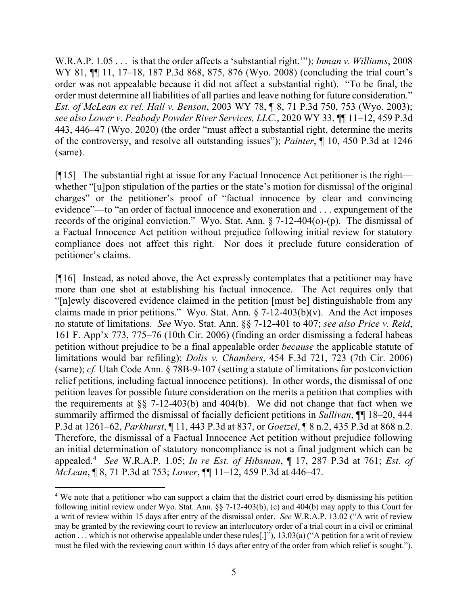W.R.A.P. 1.05 . . . is that the order affects a 'substantial right.'"); *Inman v. Williams*, 2008 WY 81,  $\P$  11, 17–18, 187 P.3d 868, 875, 876 (Wyo. 2008) (concluding the trial court's order was not appealable because it did not affect a substantial right). "To be final, the order must determine all liabilities of all parties and leave nothing for future consideration." *Est. of McLean ex rel. Hall v. Benson*, 2003 WY 78, ¶ 8, 71 P.3d 750, 753 (Wyo. 2003); *see also Lower v. Peabody Powder River Services, LLC.*, 2020 WY 33, ¶¶ 11–12, 459 P.3d 443, 446–47 (Wyo. 2020) (the order "must affect a substantial right, determine the merits of the controversy, and resolve all outstanding issues"); *Painter*, ¶ 10, 450 P.3d at 1246 (same).

[¶15] The substantial right at issue for any Factual Innocence Act petitioner is the right whether "[u]pon stipulation of the parties or the state's motion for dismissal of the original charges" or the petitioner's proof of "factual innocence by clear and convincing evidence"—to "an order of factual innocence and exoneration and . . . expungement of the records of the original conviction." Wyo. Stat. Ann. § 7-12-404(o)-(p). The dismissal of a Factual Innocence Act petition without prejudice following initial review for statutory compliance does not affect this right. Nor does it preclude future consideration of petitioner's claims.

[¶16] Instead, as noted above, the Act expressly contemplates that a petitioner may have more than one shot at establishing his factual innocence. The Act requires only that "[n]ewly discovered evidence claimed in the petition [must be] distinguishable from any claims made in prior petitions." Wyo. Stat. Ann.  $\S$  7-12-403(b)(v). And the Act imposes no statute of limitations. *See* Wyo. Stat. Ann. §§ 7-12-401 to 407; *see also Price v. Reid*, 161 F. App'x 773, 775–76 (10th Cir. 2006) (finding an order dismissing a federal habeas petition without prejudice to be a final appealable order *because* the applicable statute of limitations would bar refiling); *Dolis v. Chambers*, 454 F.3d 721, 723 (7th Cir. 2006) (same); *cf.* Utah Code Ann. § 78B-9-107 (setting a statute of limitations for postconviction relief petitions, including factual innocence petitions). In other words, the dismissal of one petition leaves for possible future consideration on the merits a petition that complies with the requirements at  $\S$  7-12-403(b) and 404(b). We did not change that fact when we summarily affirmed the dismissal of facially deficient petitions in *Sullivan*, ¶¶ 18–20, 444 P.3d at 1261–62, *Parkhurst*, ¶ 11, 443 P.3d at 837, or *Goetzel*, ¶ 8 n.2, 435 P.3d at 868 n.2. Therefore, the dismissal of a Factual Innocence Act petition without prejudice following an initial determination of statutory noncompliance is not a final judgment which can be appealed.[4](#page-5-0) *See* W.R.A.P. 1.05; *In re Est. of Hibsman*, ¶ 17, 287 P.3d at 761; *Est. of McLean*, ¶ 8, 71 P.3d at 753; *Lower*, ¶¶ 11–12, 459 P.3d at 446–47.

<span id="page-5-0"></span><sup>&</sup>lt;sup>4</sup> We note that a petitioner who can support a claim that the district court erred by dismissing his petition following initial review under Wyo. Stat. Ann. §§ 7-12-403(b), (c) and 404(b) may apply to this Court for a writ of review within 15 days after entry of the dismissal order. *See* W.R.A.P. 13.02 ("A writ of review may be granted by the reviewing court to review an interlocutory order of a trial court in a civil or criminal action . . . which is not otherwise appealable under these rules[.]"), 13.03(a) ("A petition for a writ of review must be filed with the reviewing court within 15 days after entry of the order from which relief is sought.").